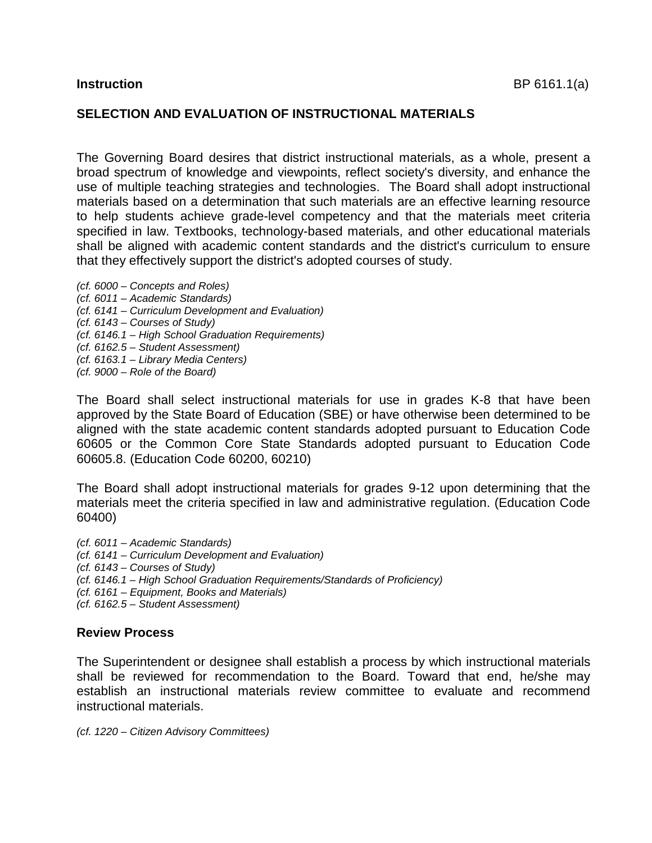# **SELECTION AND EVALUATION OF INSTRUCTIONAL MATERIALS**

The Governing Board desires that district instructional materials, as a whole, present a broad spectrum of knowledge and viewpoints, reflect society's diversity, and enhance the use of multiple teaching strategies and technologies. The Board shall adopt instructional materials based on a determination that such materials are an effective learning resource to help students achieve grade-level competency and that the materials meet criteria specified in law. Textbooks, technology-based materials, and other educational materials shall be aligned with academic content standards and the district's curriculum to ensure that they effectively support the district's adopted courses of study.

*(cf. 6000 – Concepts and Roles) (cf. 6011 – Academic Standards) (cf. 6141 – Curriculum Development and Evaluation) (cf. 6143 – Courses of Study) (cf. 6146.1 – High School Graduation Requirements) (cf. 6162.5 – Student Assessment) (cf. 6163.1 – Library Media Centers) (cf. 9000 – Role of the Board)* 

The Board shall select instructional materials for use in grades K-8 that have been approved by the State Board of Education (SBE) or have otherwise been determined to be aligned with the state academic content standards adopted pursuant to Education Code 60605 or the Common Core State Standards adopted pursuant to Education Code 60605.8. (Education Code 60200, 60210)

The Board shall adopt instructional materials for grades 9-12 upon determining that the materials meet the criteria specified in law and administrative regulation. (Education Code 60400)

*(cf. 6011 – Academic Standards) (cf. 6141 – Curriculum Development and Evaluation) (cf. 6143 – Courses of Study) (cf. 6146.1 – High School Graduation Requirements/Standards of Proficiency) (cf. 6161 – Equipment, Books and Materials) (cf. 6162.5 – Student Assessment)* 

## **Review Process**

The Superintendent or designee shall establish a process by which instructional materials shall be reviewed for recommendation to the Board. Toward that end, he/she may establish an instructional materials review committee to evaluate and recommend instructional materials.

*(cf. 1220 – Citizen Advisory Committees)*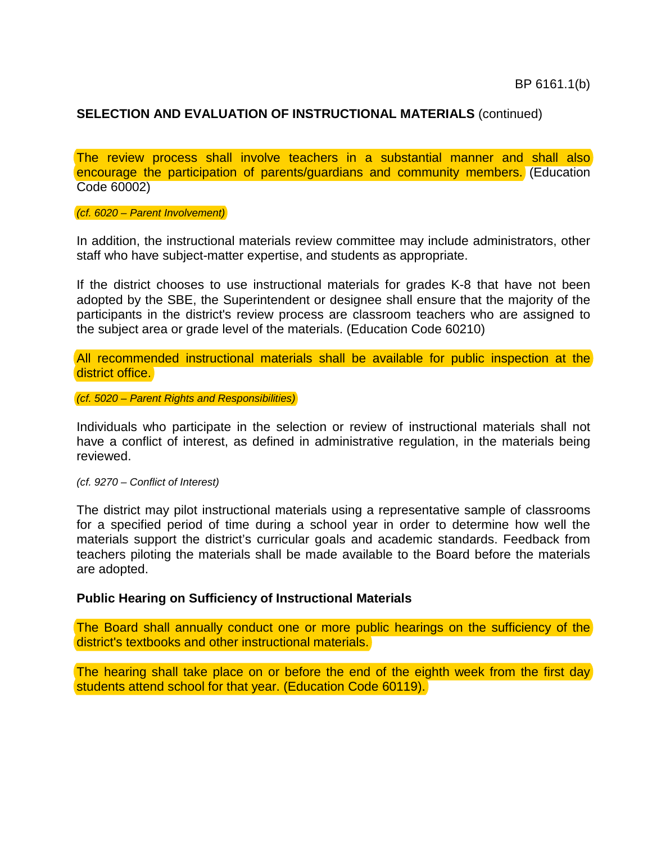The review process shall involve teachers in a substantial manner and shall also encourage the participation of parents/guardians and community members. (Education Code 60002)

*(cf. 6020 – Parent Involvement)* 

In addition, the instructional materials review committee may include administrators, other staff who have subject-matter expertise, and students as appropriate.

If the district chooses to use instructional materials for grades K-8 that have not been adopted by the SBE, the Superintendent or designee shall ensure that the majority of the participants in the district's review process are classroom teachers who are assigned to the subject area or grade level of the materials. (Education Code 60210)

All recommended instructional materials shall be available for public inspection at the district office.

*(cf. 5020 – Parent Rights and Responsibilities)* 

Individuals who participate in the selection or review of instructional materials shall not have a conflict of interest, as defined in administrative regulation, in the materials being reviewed.

*(cf. 9270 – Conflict of Interest)* 

The district may pilot instructional materials using a representative sample of classrooms for a specified period of time during a school year in order to determine how well the materials support the district's curricular goals and academic standards. Feedback from teachers piloting the materials shall be made available to the Board before the materials are adopted.

### **Public Hearing on Sufficiency of Instructional Materials**

The Board shall annually conduct one or more public hearings on the sufficiency of the district's textbooks and other instructional materials.

The hearing shall take place on or before the end of the eighth week from the first day students attend school for that year. (Education Code 60119).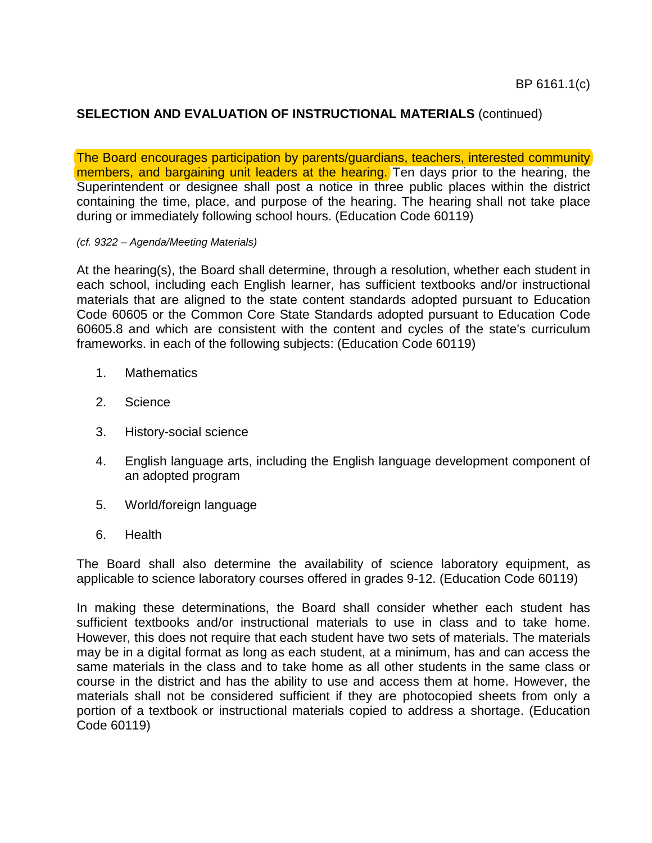The Board encourages participation by parents/guardians, teachers, interested community members, and bargaining unit leaders at the hearing. Ten days prior to the hearing, the Superintendent or designee shall post a notice in three public places within the district containing the time, place, and purpose of the hearing. The hearing shall not take place during or immediately following school hours. (Education Code 60119)

### *(cf. 9322 – Agenda/Meeting Materials)*

At the hearing(s), the Board shall determine, through a resolution, whether each student in each school, including each English learner, has sufficient textbooks and/or instructional materials that are aligned to the state content standards adopted pursuant to Education Code 60605 or the Common Core State Standards adopted pursuant to Education Code 60605.8 and which are consistent with the content and cycles of the state's curriculum frameworks. in each of the following subjects: (Education Code 60119)

- 1. Mathematics
- 2. Science
- 3. History-social science
- 4. English language arts, including the English language development component of an adopted program
- 5. World/foreign language
- 6. Health

The Board shall also determine the availability of science laboratory equipment, as applicable to science laboratory courses offered in grades 9-12. (Education Code 60119)

In making these determinations, the Board shall consider whether each student has sufficient textbooks and/or instructional materials to use in class and to take home. However, this does not require that each student have two sets of materials. The materials may be in a digital format as long as each student, at a minimum, has and can access the same materials in the class and to take home as all other students in the same class or course in the district and has the ability to use and access them at home. However, the materials shall not be considered sufficient if they are photocopied sheets from only a portion of a textbook or instructional materials copied to address a shortage. (Education Code 60119)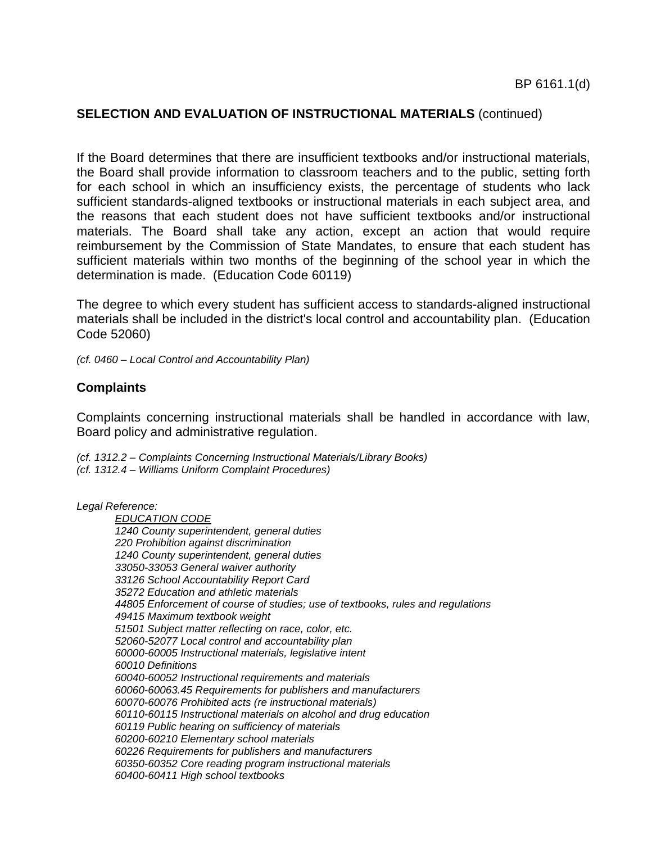If the Board determines that there are insufficient textbooks and/or instructional materials, the Board shall provide information to classroom teachers and to the public, setting forth for each school in which an insufficiency exists, the percentage of students who lack sufficient standards-aligned textbooks or instructional materials in each subject area, and the reasons that each student does not have sufficient textbooks and/or instructional materials. The Board shall take any action, except an action that would require reimbursement by the Commission of State Mandates, to ensure that each student has sufficient materials within two months of the beginning of the school year in which the determination is made. (Education Code 60119)

The degree to which every student has sufficient access to standards-aligned instructional materials shall be included in the district's local control and accountability plan. (Education Code 52060)

*(cf. 0460 – Local Control and Accountability Plan)* 

## **Complaints**

Complaints concerning instructional materials shall be handled in accordance with law, Board policy and administrative regulation.

*(cf. 1312.2 – Complaints Concerning Instructional Materials/Library Books) (cf. 1312.4 – Williams Uniform Complaint Procedures)* 

*Legal Reference:* 

*EDUCATION CODE 1240 County superintendent, general duties 220 Prohibition against discrimination 1240 County superintendent, general duties 33050-33053 General waiver authority 33126 School Accountability Report Card 35272 Education and athletic materials 44805 Enforcement of course of studies; use of textbooks, rules and regulations 49415 Maximum textbook weight 51501 Subject matter reflecting on race, color, etc. 52060-52077 Local control and accountability plan 60000-60005 Instructional materials, legislative intent 60010 Definitions 60040-60052 Instructional requirements and materials [60060-60063.45](https://60060-60063.45) Requirements for publishers and manufacturers 60070-60076 Prohibited acts (re instructional materials) 60110-60115 Instructional materials on alcohol and drug education 60119 Public hearing on sufficiency of materials 60200-60210 Elementary school materials 60226 Requirements for publishers and manufacturers 60350-60352 Core reading program instructional materials 60400-60411 High school textbooks*